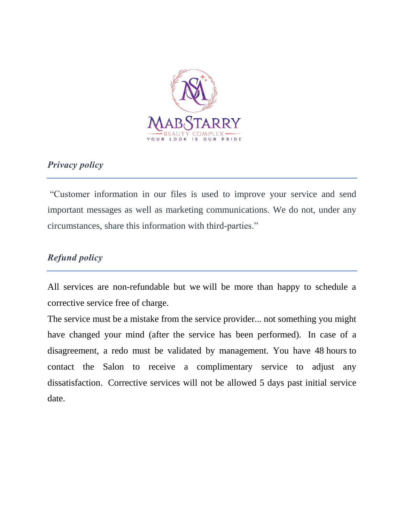

# *Privacy policy*

"Customer information in our files is used to improve your service and send important messages as well as marketing communications. We do not, under any circumstances, share this information with third-parties."

# *Refund policy*

All services are non-refundable but we will be more than happy to schedule a corrective service free of charge.

The service must be a mistake from the service provider... not something you might have changed your mind (after the service has been performed). In case of a disagreement, a redo must be validated by management. You have 48 hours to contact the Salon to receive a complimentary service to adjust any dissatisfaction. Corrective services will not be allowed 5 days past initial service date.